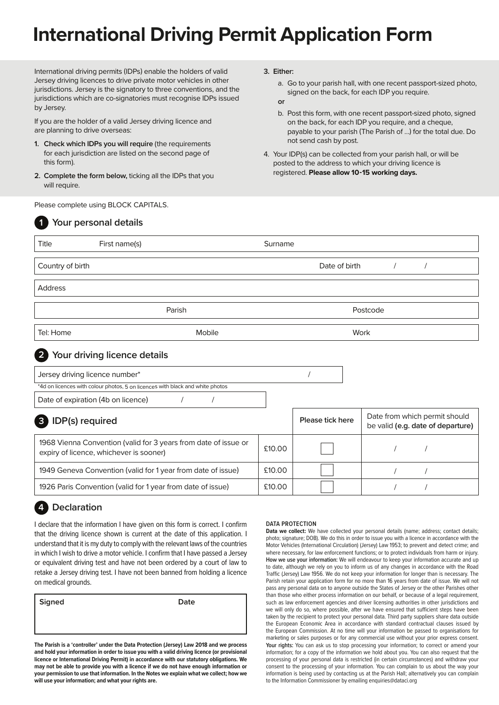# **International Driving Permit Application Form**

International driving permits (IDPs) enable the holders of valid Jersey driving licences to drive private motor vehicles in other jurisdictions. Jersey is the signatory to three conventions, and the jurisdictions which are co-signatories must recognise IDPs issued by Jersey.

If you are the holder of a valid Jersey driving licence and are planning to drive overseas:

- **1. Check which IDPs you will require** (the requirements for each jurisdiction are listed on the second page of this form).
- **2. Complete the form below,** ticking all the IDPs that you will require.

Please complete using BLOCK CAPITALS.

#### **3. Either:**

a. Go to your parish hall, with one recent passport-sized photo, signed on the back, for each IDP you require.

#### **or**

- b. Post this form, with one recent passport-sized photo, signed on the back, for each IDP you require, and a cheque, payable to your parish (The Parish of …) for the total due. Do not send cash by post.
- 4. Your IDP(s) can be collected from your parish hall, or will be posted to the address to which your driving licence is registered. **Please allow 10-15 working days.**

| $\mathbf 1$                     | Your personal details                                                                                      |         |                  |                                                                    |  |  |
|---------------------------------|------------------------------------------------------------------------------------------------------------|---------|------------------|--------------------------------------------------------------------|--|--|
| Title                           | First name(s)                                                                                              | Surname |                  |                                                                    |  |  |
| Country of birth                |                                                                                                            |         | Date of birth    |                                                                    |  |  |
| <b>Address</b>                  |                                                                                                            |         |                  |                                                                    |  |  |
| Parish                          |                                                                                                            |         | Postcode         |                                                                    |  |  |
| Tel: Home                       | Mobile                                                                                                     |         | Work             |                                                                    |  |  |
| $\overline{2}$                  | Your driving licence details                                                                               |         |                  |                                                                    |  |  |
| Jersey driving licence number*  |                                                                                                            |         |                  |                                                                    |  |  |
|                                 | *4d on licences with colour photos, 5 on licences with black and white photos                              |         |                  |                                                                    |  |  |
|                                 | Date of expiration (4b on licence)                                                                         |         |                  |                                                                    |  |  |
| IDP(s) required<br>$\mathbf{3}$ |                                                                                                            |         | Please tick here | Date from which permit should<br>be valid (e.g. date of departure) |  |  |
|                                 | 1968 Vienna Convention (valid for 3 years from date of issue or<br>expiry of licence, whichever is sooner) | £10.00  |                  |                                                                    |  |  |
|                                 | 1949 Geneva Convention (valid for 1 year from date of issue)                                               | £10.00  |                  |                                                                    |  |  |
|                                 | 1926 Paris Convention (valid for 1 year from date of issue)                                                | £10.00  |                  |                                                                    |  |  |

## **4 Declaration**

I declare that the information I have given on this form is correct. I confirm that the driving licence shown is current at the date of this application. I understand that it is my duty to comply with the relevant laws of the countries in which I wish to drive a motor vehicle. I confirm that I have passed a Jersey or equivalent driving test and have not been ordered by a court of law to retake a Jersey driving test. I have not been banned from holding a licence on medical grounds.

**The Parish is a 'controller' under the Data Protection (Jersey) Law 2018 and we process and hold your information in order to issue you with a valid driving licence (or provisional licence or International Driving Permit) in accordance with our statutory obligations. We may not be able to provide you with a licence if we do not have enough information or your permission to use that information. In the Notes we explain what we collect; how we** 

**Signed Date**

**will use your information; and what your rights are.**

#### **DATA PROTECTION**

Data we collect: We have collected your personal details (name; address; contact details; photo; signature; DOB). We do this in order to issue you with a licence in accordance with the Motor Vehicles (International Circulation) (Jersey) Law 1953; to prevent and detect crime; and where necessary, for law enforcement functions; or to protect individuals from harm or injury. **How we use your information:** We will endeavour to keep your information accurate and up to date, although we rely on you to inform us of any changes in accordance with the Road Traffic (Jersey) Law 1956. We do not keep your information for longer than is necessary. The Parish retain your application form for no more than 16 years from date of issue. We will not pass any personal data on to anyone outside the States of Jersey or the other Parishes other than those who either process information on our behalf, or because of a legal requirement, such as law enforcement agencies and driver licensing authorities in other jurisdictions and we will only do so, where possible, after we have ensured that sufficient steps have been taken by the recipient to protect your personal data. Third party suppliers share data outside the European Economic Area in accordance with standard contractual clauses issued by the European Commission. At no time will your information be passed to organisations for marketing or sales purposes or for any commercial use without your prior express consent. **Your rights:** You can ask us to stop processing your information; to correct or amend your information; for a copy of the information we hold about you. You can also request that the processing of your personal data is restricted (in certain circumstances) and withdraw your consent to the processing of your information. You can complain to us about the way your information is being used by contacting us at the Parish Hall; alternatively you can complain to the Information Commissioner by emailing enquiries@dataci.org